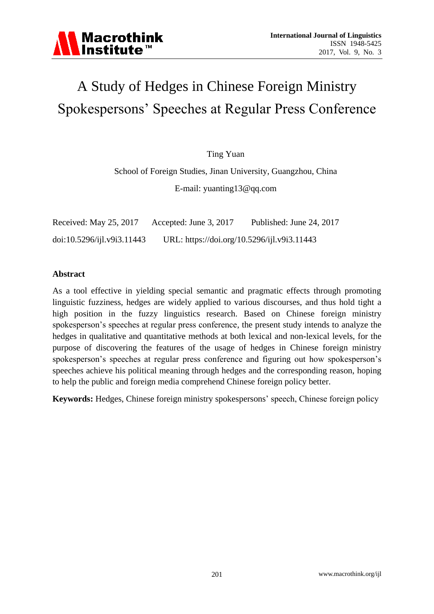

# A Study of Hedges in Chinese Foreign Ministry Spokespersons' Speeches at Regular Press Conference

Ting Yuan

School of Foreign Studies, Jinan University, Guangzhou, China E-mail: yuanting13@qq.com

| Received: May 25, 2017     | Accepted: June 3, 2017                      | Published: June 24, 2017 |
|----------------------------|---------------------------------------------|--------------------------|
| doi:10.5296/ijl.v9i3.11443 | URL: https://doi.org/10.5296/ijl.v9i3.11443 |                          |

#### **Abstract**

As a tool effective in yielding special semantic and pragmatic effects through promoting linguistic fuzziness, hedges are widely applied to various discourses, and thus hold tight a high position in the fuzzy linguistics research. Based on Chinese foreign ministry spokesperson's speeches at regular press conference, the present study intends to analyze the hedges in qualitative and quantitative methods at both lexical and non-lexical levels, for the purpose of discovering the features of the usage of hedges in Chinese foreign ministry spokesperson's speeches at regular press conference and figuring out how spokesperson's speeches achieve his political meaning through hedges and the corresponding reason, hoping to help the public and foreign media comprehend Chinese foreign policy better.

**Keywords:** Hedges, Chinese foreign ministry spokespersons' speech, Chinese foreign policy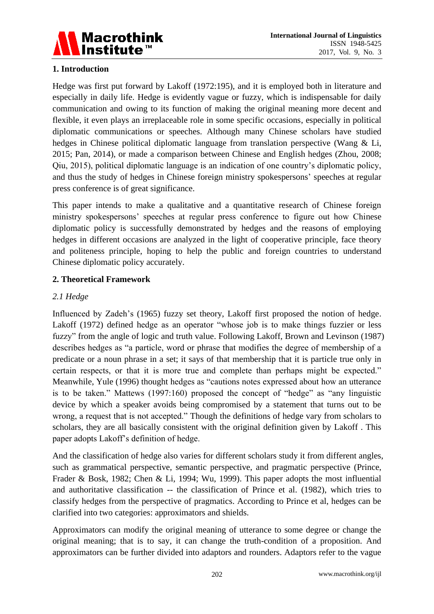

# **1. Introduction**

Hedge was first put forward by Lakoff (1972:195), and it is employed both in literature and especially in daily life. Hedge is evidently vague or fuzzy, which is indispensable for daily communication and owing to its function of making the original meaning more decent and flexible, it even plays an irreplaceable role in some specific occasions, especially in political diplomatic communications or speeches. Although many Chinese scholars have studied hedges in Chinese political diplomatic language from translation perspective (Wang & Li, 2015; Pan, 2014), or made a comparison between Chinese and English hedges (Zhou, 2008; Qiu, 2015), political diplomatic language is an indication of one country's diplomatic policy, and thus the study of hedges in Chinese foreign ministry spokespersons' speeches at regular press conference is of great significance.

This paper intends to make a qualitative and a quantitative research of Chinese foreign ministry spokespersons' speeches at regular press conference to figure out how Chinese diplomatic policy is successfully demonstrated by hedges and the reasons of employing hedges in different occasions are analyzed in the light of cooperative principle, face theory and politeness principle, hoping to help the public and foreign countries to understand Chinese diplomatic policy accurately.

## **2. Theoretical Framework**

## *2.1 Hedge*

Influenced by Zadeh's (1965) fuzzy set theory, Lakoff first proposed the notion of hedge. Lakoff (1972) defined hedge as an operator "whose job is to make things fuzzier or less fuzzy" from the angle of logic and truth value. Following Lakoff, Brown and Levinson (1987) describes hedges as "a particle, word or phrase that modifies the degree of membership of a predicate or a noun phrase in a set; it says of that membership that it is particle true only in certain respects, or that it is more true and complete than perhaps might be expected." Meanwhile, Yule (1996) thought hedges as "cautions notes expressed about how an utterance is to be taken." Mattews (1997:160) proposed the concept of "hedge" as "any linguistic device by which a speaker avoids being compromised by a statement that turns out to be wrong, a request that is not accepted." Though the definitions of hedge vary from scholars to scholars, they are all basically consistent with the original definition given by Lakoff . This paper adopts Lakoff's definition of hedge.

And the classification of hedge also varies for different scholars study it from different angles, such as grammatical perspective, semantic perspective, and pragmatic perspective (Prince, Frader & Bosk, 1982; Chen & Li, 1994; Wu, 1999). This paper adopts the most influential and authoritative classification -- the classification of Prince et al. (1982), which tries to classify hedges from the perspective of pragmatics. According to Prince et al, hedges can be clarified into two categories: approximators and shields.

Approximators can modify the original meaning of utterance to some degree or change the original meaning; that is to say, it can change the truth-condition of a proposition. And approximators can be further divided into adaptors and rounders. Adaptors refer to the vague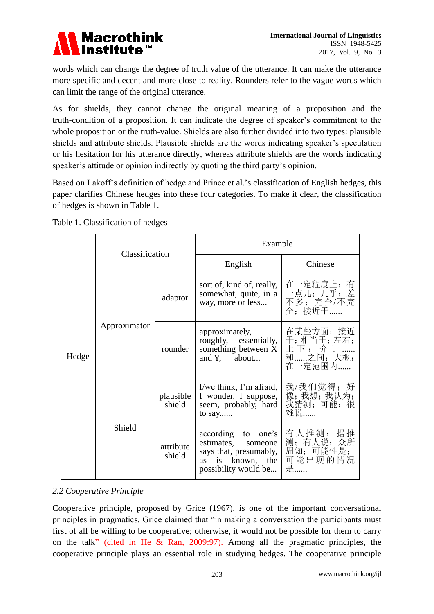

words which can change the degree of truth value of the utterance. It can make the utterance more specific and decent and more close to reality. Rounders refer to the vague words which can limit the range of the original utterance.

As for shields, they cannot change the original meaning of a proposition and the truth-condition of a proposition. It can indicate the degree of speaker's commitment to the whole proposition or the truth-value. Shields are also further divided into two types: plausible shields and attribute shields. Plausible shields are the words indicating speaker's speculation or his hesitation for his utterance directly, whereas attribute shields are the words indicating speaker's attitude or opinion indirectly by quoting the third party's opinion.

Based on Lakoff's definition of hedge and Prince et al.'s classification of English hedges, this paper clarifies Chinese hedges into these four categories. To make it clear, the classification of hedges is shown in Table 1.

|       | Classification |                     | Example                                                                                                           |                                                      |  |
|-------|----------------|---------------------|-------------------------------------------------------------------------------------------------------------------|------------------------------------------------------|--|
| Hedge |                |                     | English                                                                                                           | Chinese                                              |  |
|       | Approximator   | adaptor             | sort of, kind of, really,<br>somewhat, quite, in a<br>way, more or less                                           | 在一定程度上;有<br>二点儿;几乎;差<br>不多;完全/不完<br>全: 接近于……         |  |
|       |                | rounder             | approximately,<br>roughly, essentially,<br>something between X<br>and Y, about                                    | 在某些方面; 接近<br>于;相当于;左右;<br>上下;介于<br>和之间;大概;<br>在一定范围内 |  |
|       | Shield         | plausible<br>shield | I/we think, I'm afraid,<br>I wonder, I suppose,<br>seem, probably, hard<br>to say                                 | 我/我们觉得;好<br>像;我想;我认为;<br>我猜测;可能;很<br>难说              |  |
|       |                | attribute<br>shield | according to one's<br>estimates,<br>someone<br>says that, presumably,<br>as is known, the<br>possibility would be | 有人推测; 据推<br>测;有人说;众所<br>周知;可能性是;<br>可能出现的情况<br>是……   |  |

#### *2.2 Cooperative Principle*

Cooperative principle, proposed by Grice (1967), is one of the important conversational principles in pragmatics. Grice claimed that "in making a conversation the participants must first of all be willing to be cooperative; otherwise, it would not be possible for them to carry on the talk" (cited in He & Ran, 2009:97). Among all the pragmatic principles, the cooperative principle plays an essential role in studying hedges. The cooperative principle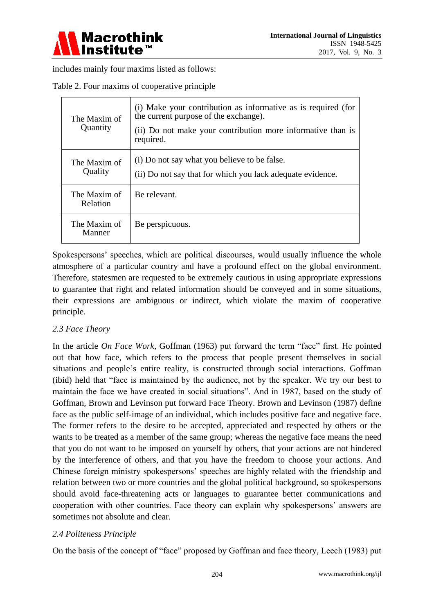

includes mainly four maxims listed as follows:

|  |  |  |  | Table 2. Four maxims of cooperative principle |  |  |
|--|--|--|--|-----------------------------------------------|--|--|
|--|--|--|--|-----------------------------------------------|--|--|

| The Maxim of<br>Quantity | (i) Make your contribution as informative as is required (for<br>the current purpose of the exchange).<br>(ii) Do not make your contribution more informative than is<br>required. |
|--------------------------|------------------------------------------------------------------------------------------------------------------------------------------------------------------------------------|
| The Maxim of<br>Quality  | (i) Do not say what you believe to be false.<br>(ii) Do not say that for which you lack adequate evidence.                                                                         |
| The Maxim of<br>Relation | Be relevant.                                                                                                                                                                       |
| The Maxim of<br>Manner   | Be perspicuous.                                                                                                                                                                    |

Spokespersons' speeches, which are political discourses, would usually influence the whole atmosphere of a particular country and have a profound effect on the global environment. Therefore, statesmen are requested to be extremely cautious in using appropriate expressions to guarantee that right and related information should be conveyed and in some situations, their expressions are ambiguous or indirect, which violate the maxim of cooperative principle.

#### *2.3 Face Theory*

In the article *On Face Work*, Goffman (1963) put forward the term "face" first. He pointed out that how face, which refers to the process that people present themselves in social situations and people's entire reality, is constructed through social interactions. Goffman (ibid) held that "face is maintained by the audience, not by the speaker. We try our best to maintain the face we have created in social situations". And in 1987, based on the study of Goffman, Brown and Levinson put forward Face Theory. Brown and Levinson (1987) define face as the public self-image of an individual, which includes positive face and negative face. The former refers to the desire to be accepted, appreciated and respected by others or the wants to be treated as a member of the same group; whereas the negative face means the need that you do not want to be imposed on yourself by others, that your actions are not hindered by the interference of others, and that you have the freedom to choose your actions. And Chinese foreign ministry spokespersons' speeches are highly related with the friendship and relation between two or more countries and the global political background, so spokespersons should avoid face-threatening acts or languages to guarantee better communications and cooperation with other countries. Face theory can explain why spokespersons' answers are sometimes not absolute and clear.

#### *2.4 Politeness Principle*

On the basis of the concept of "face" proposed by Goffman and face theory, Leech (1983) put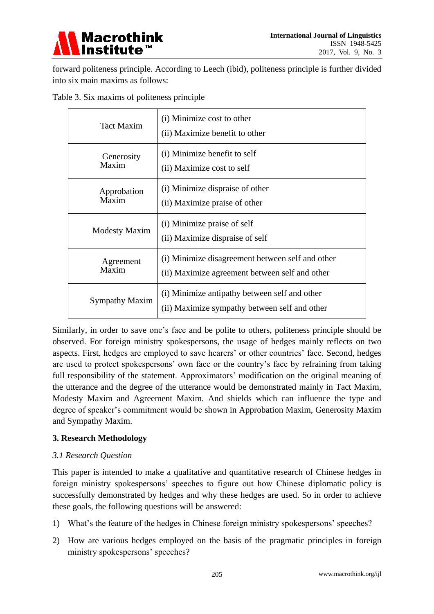

forward politeness principle. According to Leech (ibid), politeness principle is further divided into six main maxims as follows:

|  |  | Table 3. Six maxims of politeness principle |  |
|--|--|---------------------------------------------|--|
|  |  |                                             |  |

| Tact Maxim            | (i) Minimize cost to other<br>(ii) Maximize benefit to other                                   |
|-----------------------|------------------------------------------------------------------------------------------------|
| Generosity            | (i) Minimize benefit to self                                                                   |
| Maxim                 | (ii) Maximize cost to self                                                                     |
| Approbation           | (i) Minimize dispraise of other                                                                |
| Maxim                 | (ii) Maximize praise of other                                                                  |
| <b>Modesty Maxim</b>  | (i) Minimize praise of self<br>(ii) Maximize dispraise of self                                 |
| Agreement             | (i) Minimize disagreement between self and other                                               |
| Maxim                 | (ii) Maximize agreement between self and other                                                 |
| <b>Sympathy Maxim</b> | (i) Minimize antipathy between self and other<br>(ii) Maximize sympathy between self and other |

Similarly, in order to save one's face and be polite to others, politeness principle should be observed. For foreign ministry spokespersons, the usage of hedges mainly reflects on two aspects. First, hedges are employed to save hearers' or other countries' face. Second, hedges are used to protect spokespersons' own face or the country's face by refraining from taking full responsibility of the statement. Approximators' modification on the original meaning of the utterance and the degree of the utterance would be demonstrated mainly in Tact Maxim, Modesty Maxim and Agreement Maxim. And shields which can influence the type and degree of speaker's commitment would be shown in Approbation Maxim, Generosity Maxim and Sympathy Maxim.

#### **3. Research Methodology**

#### *3.1 Research Question*

This paper is intended to make a qualitative and quantitative research of Chinese hedges in foreign ministry spokespersons' speeches to figure out how Chinese diplomatic policy is successfully demonstrated by hedges and why these hedges are used. So in order to achieve these goals, the following questions will be answered:

- 1) What's the feature of the hedges in Chinese foreign ministry spokespersons' speeches?
- 2) How are various hedges employed on the basis of the pragmatic principles in foreign ministry spokespersons' speeches?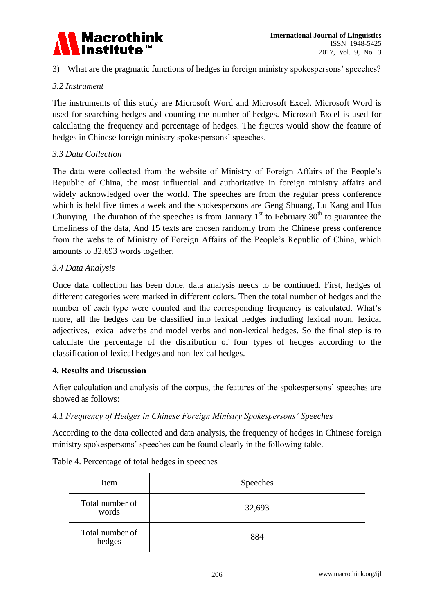

3) What are the pragmatic functions of hedges in foreign ministry spokespersons' speeches?

### *3.2 Instrument*

The instruments of this study are Microsoft Word and Microsoft Excel. Microsoft Word is used for searching hedges and counting the number of hedges. Microsoft Excel is used for calculating the frequency and percentage of hedges. The figures would show the feature of hedges in Chinese foreign ministry spokespersons' speeches.

## *3.3 Data Collection*

The data were collected from the website of Ministry of Foreign Affairs of the People's Republic of China, the most influential and authoritative in foreign ministry affairs and widely acknowledged over the world. The speeches are from the regular press conference which is held five times a week and the spokespersons are Geng Shuang, Lu Kang and Hua Chunying. The duration of the speeches is from January  $1<sup>st</sup>$  to February 30<sup>th</sup> to guarantee the timeliness of the data, And 15 texts are chosen randomly from the Chinese press conference from the website of Ministry of Foreign Affairs of the People's Republic of China, which amounts to 32,693 words together.

#### *3.4 Data Analysis*

Once data collection has been done, data analysis needs to be continued. First, hedges of different categories were marked in different colors. Then the total number of hedges and the number of each type were counted and the corresponding frequency is calculated. What's more, all the hedges can be classified into lexical hedges including lexical noun, lexical adjectives, lexical adverbs and model verbs and non-lexical hedges. So the final step is to calculate the percentage of the distribution of four types of hedges according to the classification of lexical hedges and non-lexical hedges.

#### **4. Results and Discussion**

After calculation and analysis of the corpus, the features of the spokespersons' speeches are showed as follows:

#### *4.1 Frequency of Hedges in Chinese Foreign Ministry Spokespersons' Speeches*

According to the data collected and data analysis, the frequency of hedges in Chinese foreign ministry spokespersons' speeches can be found clearly in the following table.

| Table 4. Percentage of total hedges in speeches |  |  |
|-------------------------------------------------|--|--|
|                                                 |  |  |

| Item                      | Speeches |
|---------------------------|----------|
| Total number of<br>words  | 32,693   |
| Total number of<br>hedges | 884      |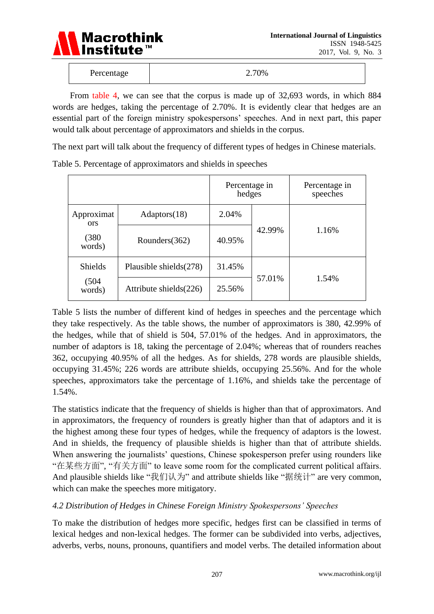

| Percentage | 2.70% |
|------------|-------|
|------------|-------|

 From table 4, we can see that the corpus is made up of 32,693 words, in which 884 words are hedges, taking the percentage of 2.70%. It is evidently clear that hedges are an essential part of the foreign ministry spokespersons' speeches. And in next part, this paper would talk about percentage of approximators and shields in the corpus.

The next part will talk about the frequency of different types of hedges in Chinese materials.

|                          |                           | Percentage in<br>hedges |        | Percentage in<br>speeches |  |
|--------------------------|---------------------------|-------------------------|--------|---------------------------|--|
| Approximat<br><b>ors</b> | Adaptors(18)              | 2.04%                   |        |                           |  |
| (380)<br>words)          | Rounders $(362)$          | 40.95%                  | 42.99% | 1.16%                     |  |
| Shields                  | Plausible shields $(278)$ | 31.45%                  |        |                           |  |
| (504)<br>words)          | Attribute shields(226)    | 25.56%                  | 57.01% | 1.54%                     |  |

Table 5. Percentage of approximators and shields in speeches

Table 5 lists the number of different kind of hedges in speeches and the percentage which they take respectively. As the table shows, the number of approximators is 380, 42.99% of the hedges, while that of shield is 504, 57.01% of the hedges. And in approximators, the number of adaptors is 18, taking the percentage of 2.04%; whereas that of rounders reaches 362, occupying 40.95% of all the hedges. As for shields, 278 words are plausible shields, occupying 31.45%; 226 words are attribute shields, occupying 25.56%. And for the whole speeches, approximators take the percentage of 1.16%, and shields take the percentage of 1.54%.

The statistics indicate that the frequency of shields is higher than that of approximators. And in approximators, the frequency of rounders is greatly higher than that of adaptors and it is the highest among these four types of hedges, while the frequency of adaptors is the lowest. And in shields, the frequency of plausible shields is higher than that of attribute shields. When answering the journalists' questions, Chinese spokesperson prefer using rounders like "在某些方面", "有关方面" to leave some room for the complicated current political affairs. And plausible shields like "我们认为" and attribute shields like "据统计" are very common, which can make the speeches more mitigatory.

# *4.2 Distribution of Hedges in Chinese Foreign Ministry Spokespersons' Speeches*

To make the distribution of hedges more specific, hedges first can be classified in terms of lexical hedges and non-lexical hedges. The former can be subdivided into verbs, adjectives, adverbs, verbs, nouns, pronouns, quantifiers and model verbs. The detailed information about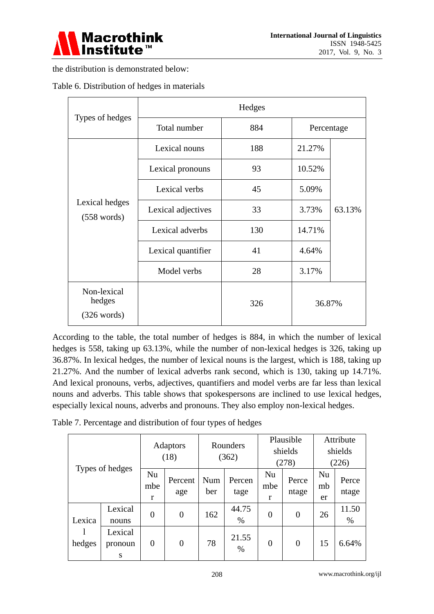

the distribution is demonstrated below:

| Types of hedges                                | Hedges             |     |            |        |  |  |
|------------------------------------------------|--------------------|-----|------------|--------|--|--|
|                                                | Total number       | 884 | Percentage |        |  |  |
| Lexical hedges<br>$(558 \text{ words})$        | Lexical nouns      | 188 | 21.27%     |        |  |  |
|                                                | Lexical pronouns   | 93  | 10.52%     |        |  |  |
|                                                | Lexical verbs      | 45  | 5.09%      |        |  |  |
|                                                | Lexical adjectives | 33  | 3.73%      | 63.13% |  |  |
|                                                | Lexical adverbs    | 130 | 14.71%     |        |  |  |
|                                                | Lexical quantifier | 41  | 4.64%      |        |  |  |
|                                                | Model verbs        | 28  | 3.17%      |        |  |  |
| Non-lexical<br>hedges<br>$(326 \text{ words})$ |                    | 326 | 36.87%     |        |  |  |

Table 6. Distribution of hedges in materials

According to the table, the total number of hedges is 884, in which the number of lexical hedges is 558, taking up 63.13%, while the number of non-lexical hedges is 326, taking up 36.87%. In lexical hedges, the number of lexical nouns is the largest, which is 188, taking up 21.27%. And the number of lexical adverbs rank second, which is 130, taking up 14.71%. And lexical pronouns, verbs, adjectives, quantifiers and model verbs are far less than lexical nouns and adverbs. This table shows that spokespersons are inclined to use lexical hedges, especially lexical nouns, adverbs and pronouns. They also employ non-lexical hedges.

|  | Table 7. Percentage and distribution of four types of hedges |  |  |
|--|--------------------------------------------------------------|--|--|

| Types of hedges  |                         | <b>Adaptors</b><br>(18) |                | Rounders<br>(362) |                | Plausible<br>shields<br>(278) |                | Attribute<br>shields<br>(226) |                |
|------------------|-------------------------|-------------------------|----------------|-------------------|----------------|-------------------------------|----------------|-------------------------------|----------------|
|                  |                         | Nu<br>mbe<br>r          | Percent<br>age | Num<br>ber        | Percen<br>tage | Nu<br>mbe<br>r                | Perce<br>ntage | Nu<br>mb<br>er                | Perce<br>ntage |
| Lexica<br>hedges | Lexical<br>nouns        | $\theta$                | $\overline{0}$ | 162               | 44.75<br>$\%$  | $\overline{0}$                | $\overline{0}$ | 26                            | 11.50<br>%     |
|                  | Lexical<br>pronoun<br>S | $\overline{0}$          | $\overline{0}$ | 78                | 21.55<br>$\%$  | $\overline{0}$                | $\overline{0}$ | 15                            | 6.64%          |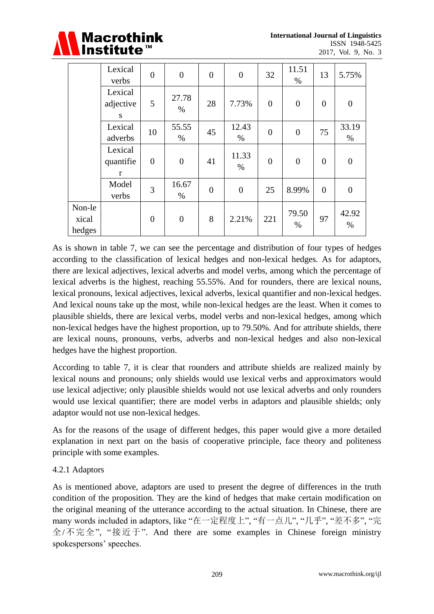

|                           | Lexical<br>verbs                     | $\overline{0}$ | $\overline{0}$   | $\overline{0}$ | $\overline{0}$ | 32               | 11.51<br>$\%$  | 13             | 5.75%            |
|---------------------------|--------------------------------------|----------------|------------------|----------------|----------------|------------------|----------------|----------------|------------------|
|                           | Lexical<br>adjective<br>S            | 5              | 27.78<br>$\%$    | 28             | 7.73%          | $\overline{0}$   | $\overline{0}$ | $\overline{0}$ | $\boldsymbol{0}$ |
|                           | Lexical<br>adverbs                   | 10             | 55.55<br>$\%$    | 45             | 12.43<br>$\%$  | $\boldsymbol{0}$ | $\overline{0}$ | 75             | 33.19<br>$\%$    |
|                           | Lexical<br>quantifie<br>$\mathbf{r}$ | $\overline{0}$ | $\boldsymbol{0}$ | 41             | 11.33<br>$\%$  | $\overline{0}$   | $\overline{0}$ | $\overline{0}$ | $\overline{0}$   |
|                           | Model<br>verbs                       | 3              | 16.67<br>$\%$    | $\overline{0}$ | $\overline{0}$ | 25               | 8.99%          | $\overline{0}$ | $\overline{0}$   |
| Non-le<br>xical<br>hedges |                                      | $\overline{0}$ | $\boldsymbol{0}$ | 8              | 2.21%          | 221              | 79.50<br>$\%$  | 97             | 42.92<br>$\%$    |

As is shown in table 7, we can see the percentage and distribution of four types of hedges according to the classification of lexical hedges and non-lexical hedges. As for adaptors, there are lexical adjectives, lexical adverbs and model verbs, among which the percentage of lexical adverbs is the highest, reaching 55.55%. And for rounders, there are lexical nouns, lexical pronouns, lexical adjectives, lexical adverbs, lexical quantifier and non-lexical hedges. And lexical nouns take up the most, while non-lexical hedges are the least. When it comes to plausible shields, there are lexical verbs, model verbs and non-lexical hedges, among which non-lexical hedges have the highest proportion, up to 79.50%. And for attribute shields, there are lexical nouns, pronouns, verbs, adverbs and non-lexical hedges and also non-lexical hedges have the highest proportion.

According to table 7, it is clear that rounders and attribute shields are realized mainly by lexical nouns and pronouns; only shields would use lexical verbs and approximators would use lexical adjective; only plausible shields would not use lexical adverbs and only rounders would use lexical quantifier; there are model verbs in adaptors and plausible shields; only adaptor would not use non-lexical hedges.

As for the reasons of the usage of different hedges, this paper would give a more detailed explanation in next part on the basis of cooperative principle, face theory and politeness principle with some examples.

#### 4.2.1 Adaptors

As is mentioned above, adaptors are used to present the degree of differences in the truth condition of the proposition. They are the kind of hedges that make certain modification on the original meaning of the utterance according to the actual situation. In Chinese, there are many words included in adaptors, like "在一定程度上", "有一点儿", "几乎", "差不多", "完 全/不完全", "接近于". And there are some examples in Chinese foreign ministry spokespersons' speeches.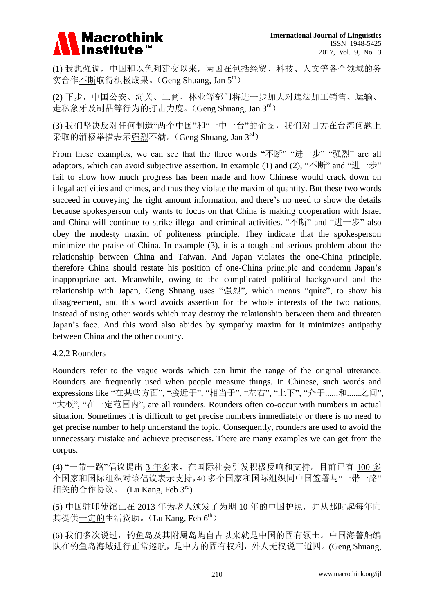# **Macrothink** Institute™

(1) 我想强调,中国和以色列建交以来,两国在包括经贸、科技、人文等各个领域的务 实合作不断取得积极成果。(Geng Shuang, Jan 5<sup>th</sup>)

(2) 下步,中国公安、海关、工商、林业等部门将进一步加大对违法加工销售、运输、 走私象牙及制品等行为的打击力度。(Geng Shuang, Jan 3rd)

(3) 我们坚决反对任何制造"两个中国"和"一中一台"的企图,我们对日方在台湾问题上 采取的消极举措表示强烈不满。(Geng Shuang, Jan 3rd)

From these examples, we can see that the three words "不断" "进一步" "强烈" are all adaptors, which can avoid subjective assertion. In example (1) and (2), "不断" and "进一步" fail to show how much progress has been made and how Chinese would crack down on illegal activities and crimes, and thus they violate the maxim of quantity. But these two words succeed in conveying the right amount information, and there's no need to show the details because spokesperson only wants to focus on that China is making cooperation with Israel and China will continue to strike illegal and criminal activities. "不断" and "进一步" also obey the modesty maxim of politeness principle. They indicate that the spokesperson minimize the praise of China. In example (3), it is a tough and serious problem about the relationship between China and Taiwan. And Japan violates the one-China principle, therefore China should restate his position of one-China principle and condemn Japan's inappropriate act. Meanwhile, owing to the complicated political background and the relationship with Japan, Geng Shuang uses "强烈", which means "quite", to show his disagreement, and this word avoids assertion for the whole interests of the two nations, instead of using other words which may destroy the relationship between them and threaten Japan's face. And this word also abides by sympathy maxim for it minimizes antipathy between China and the other country.

#### 4.2.2 Rounders

Rounders refer to the vague words which can limit the range of the original utterance. Rounders are frequently used when people measure things. In Chinese, such words and expressions like "在某些方面", "接近于", "相当于", "左右", "上下", "介于......和......之间", "大概", "在一定范围内", are all rounders. Rounders often co-occur with numbers in actual situation. Sometimes it is difficult to get precise numbers immediately or there is no need to get precise number to help understand the topic. Consequently, rounders are used to avoid the unnecessary mistake and achieve preciseness. There are many examples we can get from the corpus.

(4) "一带一路"倡议提出 3 年多来,在国际社会引发积极反响和支持。目前已有 100 多 个国家和国际组织对该倡议表示支持,40 多个国家和国际组织同中国签署与"一带一路" 相关的合作协议。 (Lu Kang, Feb 3rd)

(5) 中国驻印使馆已在 2013 年为老人颁发了为期 10 年的中国护照,并从那时起每年向 其提供一定的生活资助。(Lu Kang. Feb 6<sup>th</sup>)

(6) 我们多次说过,钓鱼岛及其附属岛屿自古以来就是中国的固有领土。中国海警船编 队在钓鱼岛海域进行正常巡航,是中方的固有权利,外人无权说三道四。(Geng Shuang,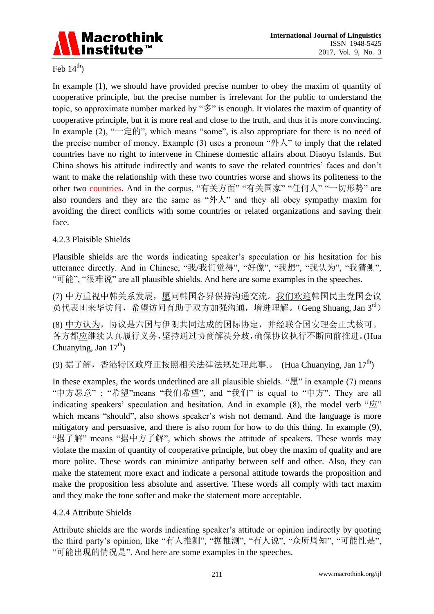

#### Feb  $14<sup>th</sup>$ )

In example (1), we should have provided precise number to obey the maxim of quantity of cooperative principle, but the precise number is irrelevant for the public to understand the topic, so approximate number marked by "多" is enough. It violates the maxim of quantity of cooperative principle, but it is more real and close to the truth, and thus it is more convincing. In example (2), " $\Rightarrow$   $\frac{1}{2}$  in  $\frac{1}{2}$ ", which means "some", is also appropriate for there is no need of the precise number of money. Example (3) uses a pronoun " $\oint \mathcal{N}$ " to imply that the related countries have no right to intervene in Chinese domestic affairs about Diaoyu Islands. But China shows his attitude indirectly and wants to save the related countries' faces and don't want to make the relationship with these two countries worse and shows its politeness to the other two countries. And in the corpus, "有关方面" "有关国家" "任何人" "一切形势" are also rounders and they are the same as "外人" and they all obey sympathy maxim for avoiding the direct conflicts with some countries or related organizations and saving their face.

#### 4.2.3 Plaisible Shields

Plausible shields are the words indicating speaker's speculation or his hesitation for his utterance directly. And in Chinese, "我/我们觉得", "好像", "我想", "我认为", "我猜测", "可能", "很难说" are all plausible shields. And here are some examples in the speeches.

(7) 中方重视中韩关系发展,愿同韩国各界保持沟通交流。我们欢迎韩国民主党国会议 员代表团来华访问,希望访问有助于双方加强沟通,增进理解。(Geng Shuang, Jan 3rd)

(8) 中方认为,协议是六国与伊朗共同达成的国际协定,并经联合国安理会正式核可。 各方都应继续认真履行义务,坚持通过协商解决分歧,确保协议执行不断向前推进。(Hua Chuanying, Jan  $17<sup>th</sup>$ )

(9) 据了解, 香港特区政府正按照相关法律法规处理此事.。(Hua Chuanying, Jan  $17^{\text{th}}$ )

In these examples, the words underlined are all plausible shields. "愿" in example (7) means "中方愿意" ; "希望"means "我们希望", and "我们" is equal to "中方". They are all indicating speakers' speculation and hesitation. And in example  $(8)$ , the model verb " $\vec{w}$ " which means "should", also shows speaker's wish not demand. And the language is more mitigatory and persuasive, and there is also room for how to do this thing. In example (9), "据了解" means "据中方了解", which shows the attitude of speakers. These words may violate the maxim of quantity of cooperative principle, but obey the maxim of quality and are more polite. These words can minimize antipathy between self and other. Also, they can make the statement more exact and indicate a personal attitude towards the proposition and make the proposition less absolute and assertive. These words all comply with tact maxim and they make the tone softer and make the statement more acceptable.

#### 4.2.4 Attribute Shields

Attribute shields are the words indicating speaker's attitude or opinion indirectly by quoting the third party's opinion, like "有人推测", "据推测", "有人说", "众所周知", "可能性是", "可能出现的情况是". And here are some examples in the speeches.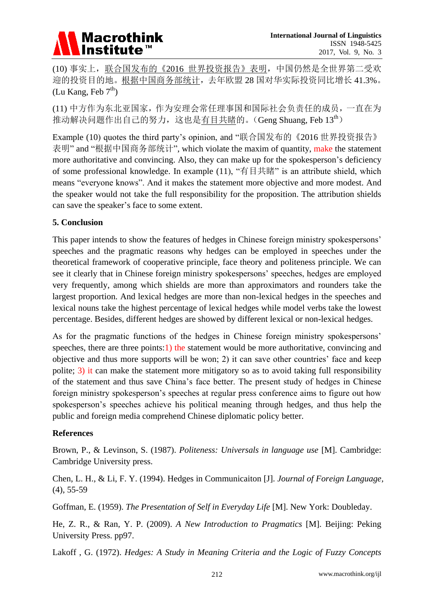# **Macrothink** Institute™

(10) 事实上,联合国发布的《2016 世界投资报告》表明,中国仍然是全世界第二受欢 迎的投资目的地。根据中国商务部统计,去年欧盟 28 国对华实际投资同比增长 41.3%。 (Lu Kang, Feb  $7<sup>th</sup>$ )

(11) 中方作为东北亚国家,作为安理会常任理事国和国际社会负责任的成员,一直在为 推动解决问题作出自己的努力,这也是有目共睹的。(Geng Shuang, Feb  $13<sup>th</sup>$ )

Example (10) quotes the third party's opinion, and "联合国发布的《2016 世界投资报告》 表明" and "根据中国商务部统计", which violate the maxim of quantity, make the statement more authoritative and convincing. Also, they can make up for the spokesperson's deficiency of some professional knowledge. In example  $(11)$ , "有目共睹" is an attribute shield, which means "everyone knows". And it makes the statement more objective and more modest. And the speaker would not take the full responsibility for the proposition. The attribution shields can save the speaker's face to some extent.

# **5. Conclusion**

This paper intends to show the features of hedges in Chinese foreign ministry spokespersons' speeches and the pragmatic reasons why hedges can be employed in speeches under the theoretical framework of cooperative principle, face theory and politeness principle. We can see it clearly that in Chinese foreign ministry spokespersons' speeches, hedges are employed very frequently, among which shields are more than approximators and rounders take the largest proportion. And lexical hedges are more than non-lexical hedges in the speeches and lexical nouns take the highest percentage of lexical hedges while model verbs take the lowest percentage. Besides, different hedges are showed by different lexical or non-lexical hedges.

As for the pragmatic functions of the hedges in Chinese foreign ministry spokespersons' speeches, there are three points:  $\hat{I}$ ) the statement would be more authoritative, convincing and objective and thus more supports will be won; 2) it can save other countries' face and keep polite; 3) it can make the statement more mitigatory so as to avoid taking full responsibility of the statement and thus save China's face better. The present study of hedges in Chinese foreign ministry spokesperson's speeches at regular press conference aims to figure out how spokesperson's speeches achieve his political meaning through hedges, and thus help the public and foreign media comprehend Chinese diplomatic policy better.

#### **References**

Brown, P., & Levinson, S. (1987). *Politeness: Universals in language use* [M]. Cambridge: Cambridge University press.

Chen, L. H., & Li, F. Y. (1994). Hedges in Communicaiton [J]. *Journal of Foreign Language,* (4), 55-59

Goffman, E. (1959). *The Presentation of Self in Everyday Life* [M]. New York: Doubleday.

He, Z. R., & Ran, Y. P. (2009). *A New Introduction to Pragmatics* [M]. Beijing: Peking University Press. pp97.

Lakoff , G. (1972). *Hedges: A Study in Meaning Criteria and the Logic of Fuzzy Concepts*